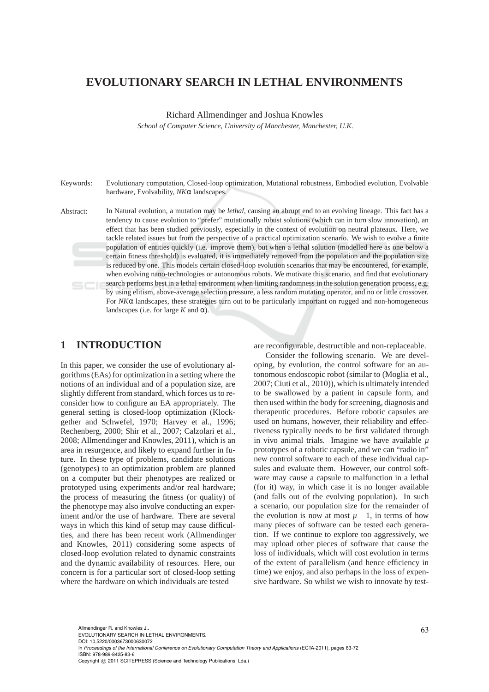# **EVOLUTIONARY SEARCH IN LETHAL ENVIRONMENTS**

Richard Allmendinger and Joshua Knowles

*School of Computer Science, University of Manchester, Manchester, U.K.*

Keywords: Evolutionary computation, Closed-loop optimization, Mutational robustness, Embodied evolution, Evolvable hardware, Evolvability, *NK*α landscapes.

Abstract: In Natural evolution, a mutation may be *lethal*, causing an abrupt end to an evolving lineage. This fact has a tendency to cause evolution to "prefer" mutationally robust solutions (which can in turn slow innovation), an effect that has been studied previously, especially in the context of evolution on neutral plateaux. Here, we tackle related issues but from the perspective of a practical optimization scenario. We wish to evolve a finite population of entities quickly (i.e. improve them), but when a lethal solution (modelled here as one below a certain fitness threshold) is evaluated, it is immediately removed from the population and the population size is reduced by one. This models certain closed-loop evolution scenarios that may be encountered, for example, when evolving nano-technologies or autonomous robots. We motivate this scenario, and find that evolutionary search performs best in a lethal environment when limiting randomness in the solution generation process, e.g. by using elitism, above-average selection pressure, a less random mutating operator, and no or little crossover. For  $N K \alpha$  landscapes, these strategies turn out to be particularly important on rugged and non-homogeneous landscapes (i.e. for large  $K$  and  $\alpha$ ).

### **1 INTRODUCTION**

In this paper, we consider the use of evolutionary algorithms (EAs) for optimization in a setting where the notions of an individual and of a population size, are slightly different from standard, which forces us to reconsider how to configure an EA appropriately. The general setting is closed-loop optimization (Klockgether and Schwefel, 1970; Harvey et al., 1996; Rechenberg, 2000; Shir et al., 2007; Calzolari et al., 2008; Allmendinger and Knowles, 2011), which is an area in resurgence, and likely to expand further in future. In these type of problems, candidate solutions (genotypes) to an optimization problem are planned on a computer but their phenotypes are realized or prototyped using experiments and/or real hardware; the process of measuring the fitness (or quality) of the phenotype may also involve conducting an experiment and/or the use of hardware. There are several ways in which this kind of setup may cause difficulties, and there has been recent work (Allmendinger and Knowles, 2011) considering some aspects of closed-loop evolution related to dynamic constraints and the dynamic availability of resources. Here, our concern is for a particular sort of closed-loop setting where the hardware on which individuals are tested

are reconfigurable, destructible and non-replaceable.

Consider the following scenario. We are developing, by evolution, the control software for an autonomous endoscopic robot (similar to (Moglia et al., 2007; Ciuti et al., 2010)), which is ultimately intended to be swallowed by a patient in capsule form, and then used within the body for screening, diagnosis and therapeutic procedures. Before robotic capsules are used on humans, however, their reliability and effectiveness typically needs to be first validated through in vivo animal trials. Imagine we have available  $\mu$ prototypes of a robotic capsule, and we can "radio in" new control software to each of these individual capsules and evaluate them. However, our control software may cause a capsule to malfunction in a lethal (for it) way, in which case it is no longer available (and falls out of the evolving population). In such a scenario, our population size for the remainder of the evolution is now at most  $\mu - 1$ , in terms of how many pieces of software can be tested each generation. If we continue to explore too aggressively, we may upload other pieces of software that cause the loss of individuals, which will cost evolution in terms of the extent of parallelism (and hence efficiency in time) we enjoy, and also perhaps in the loss of expensive hardware. So whilst we wish to innovate by test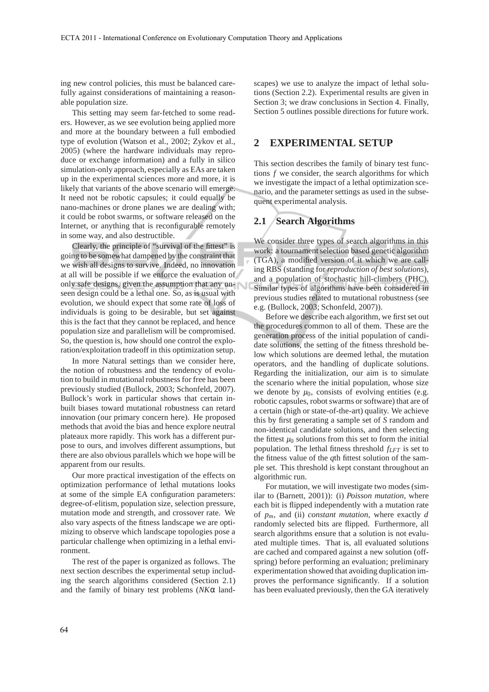ing new control policies, this must be balanced carefully against considerations of maintaining a reasonable population size.

This setting may seem far-fetched to some readers. However, as we see evolution being applied more and more at the boundary between a full embodied type of evolution (Watson et al., 2002; Zykov et al., 2005) (where the hardware individuals may reproduce or exchange information) and a fully in silico simulation-only approach, especially as EAs are taken up in the experimental sciences more and more, it is likely that variants of the above scenario will emerge. It need not be robotic capsules; it could equally be nano-machines or drone planes we are dealing with; it could be robot swarms, or software released on the Internet, or anything that is reconfigurable remotely in some way, and also destructible.

Clearly, the principle of "survival of the fittest" is going to be somewhat dampened by the constraint that we wish all designs to survive. Indeed, no innovation at all will be possible if we enforce the evaluation of only safe designs, given the assumption that any unseen design could be a lethal one. So, as is usual with evolution, we should expect that some rate of loss of individuals is going to be desirable, but set against this is the fact that they cannot be replaced, and hence population size and parallelism will be compromised. So, the question is, how should one control the exploration/exploitation tradeoff in this optimization setup.

In more Natural settings than we consider here, the notion of robustness and the tendency of evolution to build in mutational robustness for free has been previously studied (Bullock, 2003; Schonfeld, 2007). Bullock's work in particular shows that certain inbuilt biases toward mutational robustness can retard innovation (our primary concern here). He proposed methods that avoid the bias and hence explore neutral plateaux more rapidly. This work has a different purpose to ours, and involves different assumptions, but there are also obvious parallels which we hope will be apparent from our results.

Our more practical investigation of the effects on optimization performance of lethal mutations looks at some of the simple EA configuration parameters: degree-of-elitism, population size, selection pressure, mutation mode and strength, and crossover rate. We also vary aspects of the fitness landscape we are optimizing to observe which landscape topologies pose a particular challenge when optimizing in a lethal environment.

The rest of the paper is organized as follows. The next section describes the experimental setup including the search algorithms considered (Section 2.1) and the family of binary test problems (*NK*α landscapes) we use to analyze the impact of lethal solutions (Section 2.2). Experimental results are given in Section 3; we draw conclusions in Section 4. Finally, Section 5 outlines possible directions for future work.

### **2 EXPERIMENTAL SETUP**

This section describes the family of binary test functions *f* we consider, the search algorithms for which we investigate the impact of a lethal optimization scenario, and the parameter settings as used in the subsequent experimental analysis.

### **2.1 Search Algorithms**

We consider three types of search algorithms in this work: a tournament selection based genetic algorithm (TGA), a modified version of it which we are calling RBS (standing for *reproduction of best solutions*), and a population of stochastic hill-climbers (PHC). Similar types of algorithms have been considered in previous studies related to mutational robustness (see e.g. (Bullock, 2003; Schonfeld, 2007)).

Before we describe each algorithm, we first set out the procedures common to all of them. These are the generation process of the initial population of candidate solutions, the setting of the fitness threshold below which solutions are deemed lethal, the mutation operators, and the handling of duplicate solutions. Regarding the initialization, our aim is to simulate the scenario where the initial population, whose size we denote by  $\mu_0$ , consists of evolving entities (e.g. robotic capsules, robot swarms or software) that are of a certain (high or state-of-the-art) quality. We achieve this by first generating a sample set of *S* random and non-identical candidate solutions, and then selecting the fittest  $\mu_0$  solutions from this set to form the initial population. The lethal fitness threshold *fLFT* is set to the fitness value of the *q*th fittest solution of the sample set. This threshold is kept constant throughout an algorithmic run.

For mutation, we will investigate two modes (similar to (Barnett, 2001)): (i) *Poisson mutation*, where each bit is flipped independently with a mutation rate of *pm*, and (ii) *constant mutation*, where exactly *d* randomly selected bits are flipped. Furthermore, all search algorithms ensure that a solution is not evaluated multiple times. That is, all evaluated solutions are cached and compared against a new solution (offspring) before performing an evaluation; preliminary experimentation showed that avoiding duplication improves the performance significantly. If a solution has been evaluated previously, then the GA iteratively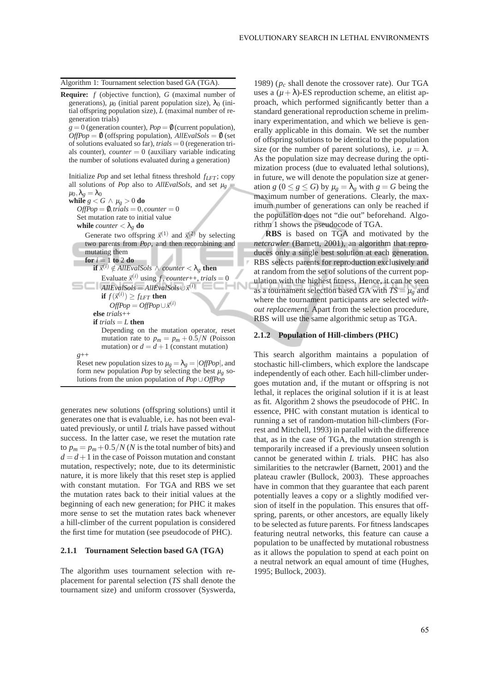Algorithm 1: Tournament selection based GA (TGA).

**Require:** *f* (objective function), *G* (maximal number of generations),  $\mu_0$  (initial parent population size),  $\lambda_0$  (initial offspring population size), *L* (maximal number of regeneration trials)

 $g = 0$  (generation counter),  $Pop = \emptyset$  (current population),  $OffPop = 0$  (offspring population),  $AllEvalSols = 0$  (set of solutions evaluated so far), *trials* = 0 (regeneration trials counter), *counter*  $= 0$  (auxiliary variable indicating the number of solutions evaluated during a generation)

Initialize *Pop* and set lethal fitness threshold *fLFT* ; copy all solutions of *Pop* also to *AllEvalSols*, and set  $\mu$ <sup>*g*</sup> =  $\mu_0, \lambda_g = \lambda_0$ 

**while**  $g < G \wedge \mu_g > 0$  **do**  $OffPop = 0, trials = 0, counter = 0$ Set mutation rate to initial value **while** *counter*  $< \lambda_g$  **do** 

> Generate two offspring  $\vec{x}^{(1)}$  and  $\vec{x}^{(2)}$  by selecting two parents from *Pop*, and then recombining and mutating them

**for**  $i = 1$  **to** 2 **do**  $\mathbf{if} \ \vec{x}^{(i)} \notin AllEvalSols \ \wedge \ counter < \lambda_g \ \mathbf{then}$ Evaluate  $\vec{x}^{(i)}$  using *f*, *counter*++, *trials* = 0  $\overline{A}$ *llEvalSols* =  $\overline{A}$ *llEvalSols*∪ $\overrightarrow{x}^{(i)}$ **if**  $f(\vec{x}^{(i)}) \ge f_{LFT}$  **then** 

$$
OffPop = OffPop \cup \vec{x}^{(i)}
$$

**else** *trials*++ **if** *trials* = *L* **then**

*g*++

Depending on the mutation operator, reset mutation rate to  $p_m = p_m + 0.5/N$  (Poisson mutation) or  $d = d + 1$  (constant mutation)

Reset new population sizes to  $\mu_g = \lambda_g = |OffPop|$ , and form new population *Pop* by selecting the best  $\mu_g$  solutions from the union population of *Pop*∪*OffPop*

generates new solutions (offspring solutions) until it generates one that is evaluable, i.e. has not been evaluated previously, or until *L* trials have passed without success. In the latter case, we reset the mutation rate to  $p_m = p_m + 0.5/N$  (*N* is the total number of bits) and  $d = d + 1$  in the case of Poisson mutation and constant mutation, respectively; note, due to its deterministic nature, it is more likely that this reset step is applied with constant mutation. For TGA and RBS we set the mutation rates back to their initial values at the beginning of each new generation; for PHC it makes more sense to set the mutation rates back whenever a hill-climber of the current population is considered the first time for mutation (see pseudocode of PHC).

#### **2.1.1 Tournament Selection based GA (TGA)**

The algorithm uses tournament selection with replacement for parental selection (*TS* shall denote the tournament size) and uniform crossover (Syswerda,

1989) (*p<sup>c</sup>* shall denote the crossover rate). Our TGA uses a  $(\mu + \lambda)$ -ES reproduction scheme, an elitist approach, which performed significantly better than a standard generational reproduction scheme in preliminary experimentation, and which we believe is generally applicable in this domain. We set the number of offspring solutions to be identical to the population size (or the number of parent solutions), i.e.  $\mu = \lambda$ . As the population size may decrease during the optimization process (due to evaluated lethal solutions), in future, we will denote the population size at generation *g* ( $0 \le g \le G$ ) by  $\mu_g = \lambda_g$  with  $g = G$  being the maximum number of generations. Clearly, the maximum number of generations can only be reached if the population does not "die out" beforehand. Algorithm 1 shows the pseudocode of TGA.

**RBS** is based on TGA and motivated by the *netcrawler* (Barnett, 2001), an algorithm that reproduces only a single best solution at each generation. RBS selects parents for reproduction exclusively and at random from the set of solutions of the current population with the highest fitness. Hence, it can be seen as a tournament selection based GA with  $TS = \mu_g$  and where the tournament participants are selected *without replacement*. Apart from the selection procedure, RBS will use the same algorithmic setup as TGA.

#### **2.1.2 Population of Hill-climbers (PHC)**

This search algorithm maintains a population of stochastic hill-climbers, which explore the landscape independently of each other. Each hill-climber undergoes mutation and, if the mutant or offspring is not lethal, it replaces the original solution if it is at least as fit. Algorithm 2 shows the pseudocode of PHC. In essence, PHC with constant mutation is identical to running a set of random-mutation hill-climbers (Forrest and Mitchell, 1993) in parallel with the difference that, as in the case of TGA, the mutation strength is temporarily increased if a previously unseen solution cannot be generated within *L* trials. PHC has also similarities to the netcrawler (Barnett, 2001) and the plateau crawler (Bullock, 2003). These approaches have in common that they guarantee that each parent potentially leaves a copy or a slightly modified version of itself in the population. This ensures that offspring, parents, or other ancestors, are equally likely to be selected as future parents. For fitness landscapes featuring neutral networks, this feature can cause a population to be unaffected by mutational robustness as it allows the population to spend at each point on a neutral network an equal amount of time (Hughes, 1995; Bullock, 2003).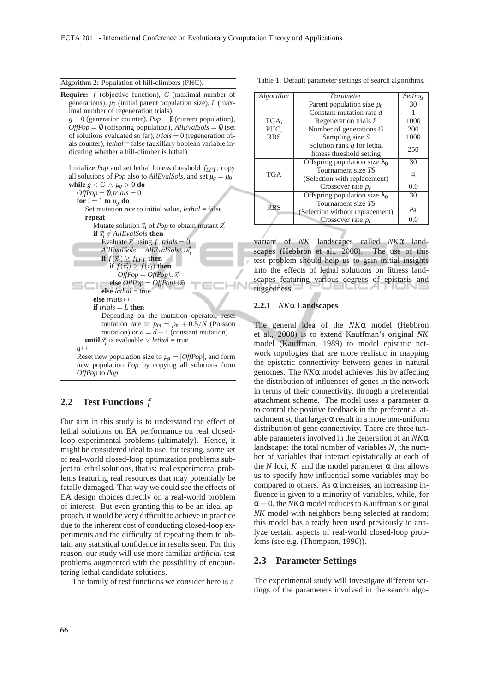Algorithm 2: Population of hill-climbers (PHC).

**Require:** *f* (objective function), *G* (maximal number of generations),  $\mu_0$  (initial parent population size),  $L$  (maximal number of regeneration trials)  $g = 0$  (generation counter),  $Pop = \emptyset$  (current population),  $OffPop = \emptyset$  (offspring population),  $AllEvalSols = \emptyset$  (set of solutions evaluated so far), *trials* = 0 (regeneration trials counter), *lethal* = false (auxiliary boolean variable indicating whether a hill-climber is lethal) Initialize *Pop* and set lethal fitness threshold *fLFT* ; copy all solutions of *Pop* also to *AllEvalSols*, and set  $\mu_{\varrho} = \mu_0$ **while**  $g < G \wedge \mu_g > 0$  **do**  $OffPop = 0, trials = 0$ **for**  $i = 1$  **to**  $\mu_g$  **do** Set mutation rate to initial value, *lethal* = false **repeat** Mutate solution  $\vec{x}_i$  of *Pop* to obtain mutant  $\vec{x}'_i$ **if**  $\vec{x}'_i \notin AllEvalSols$  **then** Evaluate  $\vec{x}'_i$  using *f*, *trials* = 0  $A$ llEvalSols =  $A$ llEvalSols∪ $\vec{x}'_i$ **if**  $f(\vec{x}_i') \geq f_{LFT}$  **then if**  $f(\vec{x}_i') \geq f(\vec{x}_i)$  **then**  $\overrightarrow{OffPop} = \overrightarrow{OffPop} \cup \overrightarrow{x}'_i$ **else**  $OffPop = OffPop \cup \vec{x}_i$ **else** *lethal* = true **else** *trials*++ **if**  $trials = L$  **then** Depending on the mutation operator, reset mutation rate to  $p_m = p_m + 0.5/N$  (Poisson mutation) or  $d = d + 1$  (constant mutation) **until**  $\vec{x}'_i$  is evaluable ∨ *lethal* = true *g*++ Reset new population size to  $\mu_g = |OffPop|$ , and form

new population *Pop* by copying all solutions from *OffPop* to *Pop*

### **2.2 Test Functions** *f*

Our aim in this study is to understand the effect of lethal solutions on EA performance on real closedloop experimental problems (ultimately). Hence, it might be considered ideal to use, for testing, some set of real-world closed-loop optimization problems subject to lethal solutions, that is: real experimental problems featuring real resources that may potentially be fatally damaged. That way we could see the effects of EA design choices directly on a real-world problem of interest. But even granting this to be an ideal approach, it would be very difficult to achieve in practice due to the inherent cost of conducting closed-loop experiments and the difficulty of repeating them to obtain any statistical confidence in results seen. For this reason, our study will use more familiar *artificial* test problems augmented with the possibility of encountering lethal candidate solutions.

The family of test functions we consider here is a

Table 1: Default parameter settings of search algorithms.

| Algorithm  | Parameter                             | Setting |
|------------|---------------------------------------|---------|
|            | Parent population size $\mu_0$        | 30      |
|            | Constant mutation rate d              |         |
| TGA,       | Regeneration trials L                 | 1000    |
| PHC.       | Number of generations $G$             | 200     |
| <b>RBS</b> | Sampling size S                       | 1000    |
|            | Solution rank $q$ for lethal          |         |
|            | fitness threshold setting             | 250     |
| <b>TGA</b> | Offspring population size $\lambda_0$ | 30      |
|            | Tournament size TS                    |         |
|            | (Selection with replacement)          | 4       |
|            | Crossover rate $p_c$                  | 0.0     |
|            | Offspring population size $\lambda_0$ | 30      |
| <b>RBS</b> | Tournament size TS                    |         |
|            | (Selection without replacement)       | $\mu_g$ |
|            | Crossover rate $p_c$                  | 0.0     |

variant of *NK* landscapes called *NK*α landscapes (Hebbron et al., 2008). The use of this test problem should help us to gain initial insights into the effects of lethal solutions on fitness landscapes featuring various degrees of epistasis and ruggedness.

#### **2.2.1** *NK*α **Landscapes**

The general idea of the *NK*α model (Hebbron et al., 2008) is to extend Kauffman's original *NK* model (Kauffman, 1989) to model epistatic network topologies that are more realistic in mapping the epistatic connectivity between genes in natural genomes. The *NK*α model achieves this by affecting the distribution of influences of genes in the network in terms of their connectivity, through a preferential attachment scheme. The model uses a parameter  $\alpha$ to control the positive feedback in the preferential attachment so that larger  $\alpha$  result in a more non-uniform distribution of gene connectivity. There are three tunable parameters involved in the generation of an *NK*α landscape: the total number of variables *N*, the number of variables that interact epistatically at each of the *N* loci, *K*, and the model parameter  $\alpha$  that allows us to specify how influential some variables may be compared to others. As  $\alpha$  increases, an increasing influence is given to a minority of variables, while, for  $\alpha = 0$ , the *NK* $\alpha$  model reduces to Kauffman's original *NK* model with neighbors being selected at random; this model has already been used previously to analyze certain aspects of real-world closed-loop problems (see e.g. (Thompson, 1996)).

## **2.3 Parameter Settings**

The experimental study will investigate different settings of the parameters involved in the search algo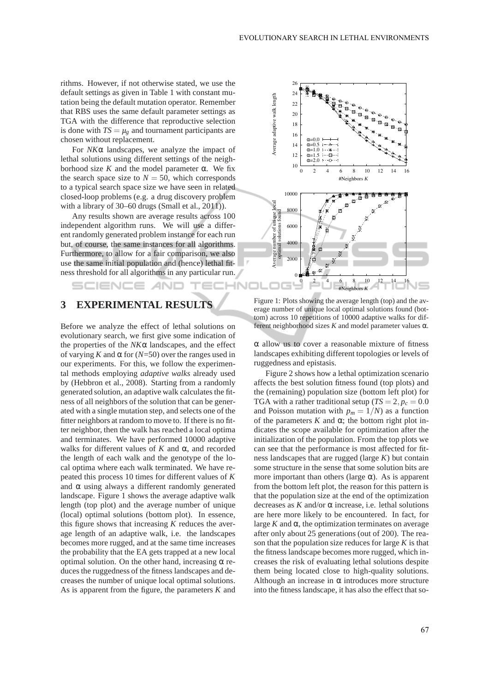rithms. However, if not otherwise stated, we use the default settings as given in Table 1 with constant mutation being the default mutation operator. Remember that RBS uses the same default parameter settings as TGA with the difference that reproductive selection is done with  $TS = \mu_g$  and tournament participants are chosen without replacement.

For *NK*α landscapes, we analyze the impact of lethal solutions using different settings of the neighborhood size *K* and the model parameter α. We fix the search space size to  $N = 50$ , which corresponds to a typical search space size we have seen in related closed-loop problems (e.g. a drug discovery problem with a library of 30–60 drugs (Small et al., 2011)).

Any results shown are average results across 100 independent algorithm runs. We will use a different randomly generated problem instance for each run but, of course, the same instances for all algorithms. Furthermore, to allow for a fair comparison, we also use the same initial population and (hence) lethal fitness threshold for all algorithms in any particular run.

## **3 EXPERIMENTAL RESULTS**

SCIENCE *A*ND

Before we analyze the effect of lethal solutions on evolutionary search, we first give some indication of the properties of the *NK*α landscapes, and the effect of varying *K* and  $\alpha$  for (*N*=50) over the ranges used in our experiments. For this, we follow the experimental methods employing *adaptive walks* already used by (Hebbron et al., 2008). Starting from a randomly generated solution, an adaptive walk calculates the fitness of all neighbors of the solution that can be generated with a single mutation step, and selects one of the fitter neighbors at random to move to. If there is no fitter neighbor, then the walk has reached a local optima and terminates. We have performed 10000 adaptive walks for different values of  $K$  and  $\alpha$ , and recorded the length of each walk and the genotype of the local optima where each walk terminated. We have repeated this process 10 times for different values of *K* and  $\alpha$  using always a different randomly generated landscape. Figure 1 shows the average adaptive walk length (top plot) and the average number of unique (local) optimal solutions (bottom plot). In essence, this figure shows that increasing *K* reduces the average length of an adaptive walk, i.e. the landscapes becomes more rugged, and at the same time increases the probability that the EA gets trapped at a new local optimal solution. On the other hand, increasing  $\alpha$  reduces the ruggedness of the fitness landscapes and decreases the number of unique local optimal solutions. As is apparent from the figure, the parameters *K* and



Figure 1: Plots showing the average length (top) and the average number of unique local optimal solutions found (bottom) across 10 repetitions of 10000 adaptive walks for different neighborhood sizes  $K$  and model parameter values  $\alpha$ .

α allow us to cover a reasonable mixture of fitness landscapes exhibiting different topologies or levels of ruggedness and epistasis.

Figure 2 shows how a lethal optimization scenario affects the best solution fitness found (top plots) and the (remaining) population size (bottom left plot) for TGA with a rather traditional setup ( $TS = 2$ ,  $p_c = 0.0$ ) and Poisson mutation with  $p_m = 1/N$  as a function of the parameters  $K$  and  $\alpha$ ; the bottom right plot indicates the scope available for optimization after the initialization of the population. From the top plots we can see that the performance is most affected for fitness landscapes that are rugged (large *K*) but contain some structure in the sense that some solution bits are more important than others (large  $\alpha$ ). As is apparent from the bottom left plot, the reason for this pattern is that the population size at the end of the optimization decreases as  $K$  and/or  $\alpha$  increase, i.e. lethal solutions are here more likely to be encountered. In fact, for large  $K$  and  $\alpha$ , the optimization terminates on average after only about 25 generations (out of 200). The reason that the population size reduces for large *K* is that the fitness landscape becomes more rugged, which increases the risk of evaluating lethal solutions despite them being located close to high-quality solutions. Although an increase in  $\alpha$  introduces more structure into the fitness landscape, it has also the effect that so-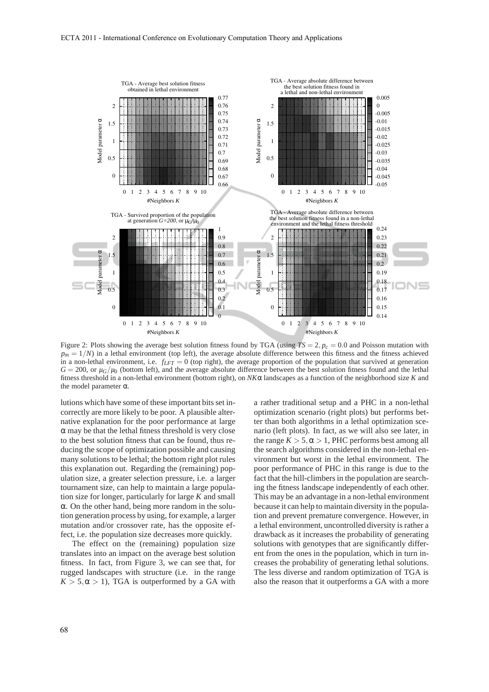

Figure 2: Plots showing the average best solution fitness found by TGA (using  $TS = 2$ ,  $p_c = 0.0$  and Poisson mutation with  $p_m = 1/N$  in a lethal environment (top left), the average absolute difference between this fitness and the fitness achieved in a non-lethal environment, i.e.  $f_{LFT} = 0$  (top right), the average proportion of the population that survived at generation  $G = 200$ , or  $\mu$ <sup>*G*</sup>/ $\mu$ <sup>0</sup> (bottom left), and the average absolute difference between the best solution fitness found and the lethal fitness threshold in a non-lethal environment (bottom right), on *NK*α landscapes as a function of the neighborhood size *K* and the model parameter  $α$ .

lutions which have some of these important bits set incorrectly are more likely to be poor. A plausible alternative explanation for the poor performance at large  $\alpha$  may be that the lethal fitness threshold is very close to the best solution fitness that can be found, thus reducing the scope of optimization possible and causing many solutions to be lethal; the bottom right plot rules this explanation out. Regarding the (remaining) population size, a greater selection pressure, i.e. a larger tournament size, can help to maintain a large population size for longer, particularly for large *K* and small α. On the other hand, being more random in the solution generation process by using, for example, a larger mutation and/or crossover rate, has the opposite effect, i.e. the population size decreases more quickly.

The effect on the (remaining) population size translates into an impact on the average best solution fitness. In fact, from Figure 3, we can see that, for rugged landscapes with structure (i.e. in the range  $K > 5, \alpha > 1$ , TGA is outperformed by a GA with a rather traditional setup and a PHC in a non-lethal optimization scenario (right plots) but performs better than both algorithms in a lethal optimization scenario (left plots). In fact, as we will also see later, in the range  $K > 5$ ,  $\alpha > 1$ , PHC performs best among all the search algorithms considered in the non-lethal environment but worst in the lethal environment. The poor performance of PHC in this range is due to the fact that the hill-climbers in the population are searching the fitness landscape independently of each other. This may be an advantage in a non-lethal environment because it can help to maintain diversity in the population and prevent premature convergence. However, in a lethal environment, uncontrolled diversity is rather a drawback as it increases the probability of generating solutions with genotypes that are significantly different from the ones in the population, which in turn increases the probability of generating lethal solutions. The less diverse and random optimization of TGA is also the reason that it outperforms a GA with a more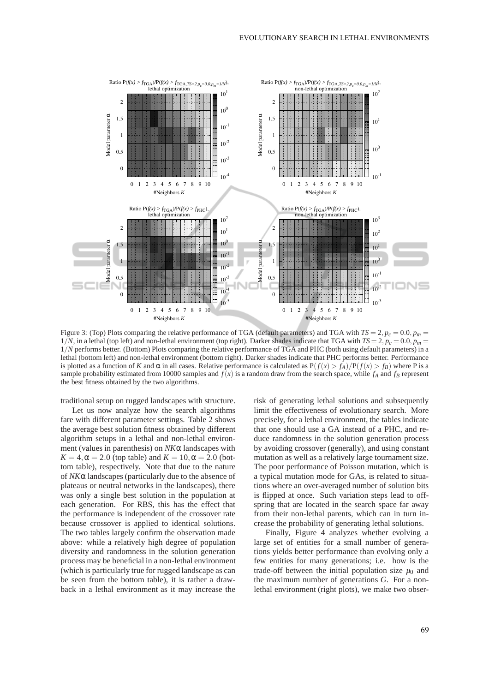

Figure 3: (Top) Plots comparing the relative performance of TGA (default parameters) and TGA with  $TS = 2$ ,  $p_c = 0.0$ ,  $p_m =$  $1/N$ , in a lethal (top left) and non-lethal environment (top right). Darker shades indicate that TGA with  $TS = 2$ ,  $p_c = 0.0$ ,  $p_m = 1$ 1/*N* performs better. (Bottom) Plots comparing the relative performance of TGA and PHC (both using default parameters) in a lethal (bottom left) and non-lethal environment (bottom right). Darker shades indicate that PHC performs better. Performance is plotted as a function of *K* and α in all cases. Relative performance is calculated as  $P(f(x) > f_A)/P(f(x) > f_B)$  where P is a sample probability estimated from 10000 samples and  $\bar{f}(x)$  is a random draw from the search space, while  $f_A$  and  $f_B$  represent the best fitness obtained by the two algorithms.

traditional setup on rugged landscapes with structure.

Let us now analyze how the search algorithms fare with different parameter settings. Table 2 shows the average best solution fitness obtained by different algorithm setups in a lethal and non-lethal environment (values in parenthesis) on *NK*α landscapes with  $K = 4, \alpha = 2.0$  (top table) and  $K = 10, \alpha = 2.0$  (bottom table), respectively. Note that due to the nature of *NK*α landscapes (particularly due to the absence of plateaus or neutral networks in the landscapes), there was only a single best solution in the population at each generation. For RBS, this has the effect that the performance is independent of the crossover rate because crossover is applied to identical solutions. The two tables largely confirm the observation made above: while a relatively high degree of population diversity and randomness in the solution generation process may be beneficial in a non-lethal environment (which is particularly true for rugged landscape as can be seen from the bottom table), it is rather a drawback in a lethal environment as it may increase the risk of generating lethal solutions and subsequently limit the effectiveness of evolutionary search. More precisely, for a lethal environment, the tables indicate that one should use a GA instead of a PHC, and reduce randomness in the solution generation process by avoiding crossover (generally), and using constant mutation as well as a relatively large tournament size. The poor performance of Poisson mutation, which is a typical mutation mode for GAs, is related to situations where an over-averaged number of solution bits is flipped at once. Such variation steps lead to offspring that are located in the search space far away from their non-lethal parents, which can in turn increase the probability of generating lethal solutions.

Finally, Figure 4 analyzes whether evolving a large set of entities for a small number of generations yields better performance than evolving only a few entities for many generations; i.e. how is the trade-off between the initial population size  $\mu_0$  and the maximum number of generations *G*. For a nonlethal environment (right plots), we make two obser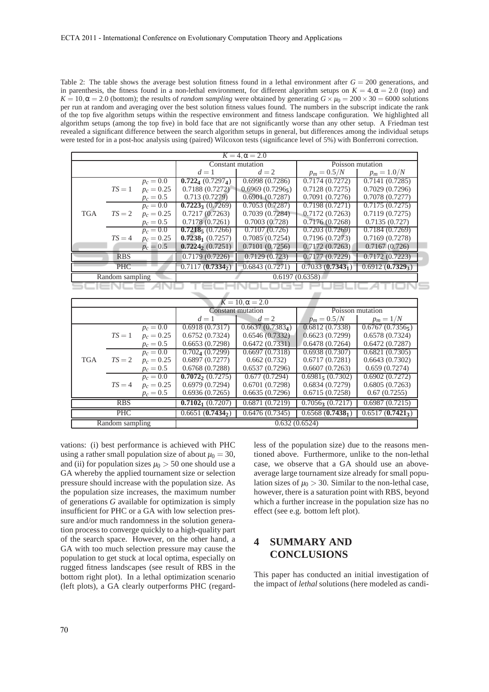Table 2: The table shows the average best solution fitness found in a lethal environment after  $G = 200$  generations, and in parenthesis, the fitness found in a non-lethal environment, for different algorithm setups on  $K = 4, \alpha = 2.0$  (top) and  $K = 10, \alpha = 2.0$  (bottom); the results of *random sampling* were obtained by generating  $G \times \mu_0 = 200 \times 30 = 6000$  solutions per run at random and averaging over the best solution fitness values found. The numbers in the subscript indicate the rank of the top five algorithm setups within the respective environment and fitness landscape configuration. We highlighted all algorithm setups (among the top five) in bold face that are not significantly worse than any other setup. A Friedman test revealed a significant difference between the search algorithm setups in general, but differences among the individual setups were tested for in a post-hoc analysis using (paired) Wilcoxon tests (significance level of 5%) with Bonferroni correction.

| $K = 4, \alpha = 2.0$            |            |                |                                    |                |                    |                    |  |
|----------------------------------|------------|----------------|------------------------------------|----------------|--------------------|--------------------|--|
|                                  |            |                | Constant mutation                  |                | Poisson mutation   |                    |  |
|                                  |            |                | $d=1$                              | $d=2$          | $p_m = 0.5/N$      | $p_m = 1.0/N$      |  |
|                                  |            | $p_c = 0.0$    | $0.722_{4}$ (0.7297 <sub>4</sub> ) | 0.6998(0.7286) | 0.7174(0.7272)     | 0.7141(0.7285)     |  |
|                                  | $TS=1$     | $p_c = 0.25$   | 0.7188(0.7272)                     | 0.6969(0.7296) | 0.7128(0.7275)     | 0.7029(0.7296)     |  |
|                                  |            | $p_c = 0.5$    | 0.713(0.7279)                      | 0.6901(0.7287) | 0.7091(0.7276)     | 0.7078(0.7277)     |  |
| <b>TGA</b><br>$TS = 2$<br>$TS=4$ |            | $p_c=0.0$      | $0.7223$ (0.7269)                  | 0.7053(0.7287) | 0.7198(0.7271)     | 0.7175(0.7275)     |  |
|                                  |            | $p_c = 0.25$   | 0.7217(0.7263)                     | 0.7039(0.7284) | 0.7172(0.7263)     | 0.7119(0.7275)     |  |
|                                  |            | $p_c = 0.5$    | 0.7178(0.7261)                     | 0.7003(0.728)  | 0.7176(0.7268)     | 0.7135(0.727)      |  |
|                                  |            | $p_c = 0.0$    | $0.72185$ (0.7266)                 | 0.7107(0.726)  | 0.7203(0.7269)     | 0.7184(0.7269)     |  |
|                                  |            | $p_c = 0.25$   | $0.72381$ (0.7257)                 | 0.7085(0.7254) | 0.7196(0.7273)     | 0.7169(0.7278)     |  |
|                                  |            | $p_c = 0.5$    | $0.7224_{2} (0.7251)$              | 0.7101(0.7256) | 0.7172(0.7263)     | 0.7167(0.726)      |  |
|                                  | <b>RBS</b> |                | 0.7179(0.7226)                     | 0.7129(0.723)  | 0.7177(0.7229)     | 0.7172(0.7223)     |  |
|                                  | <b>PHC</b> |                | 0.7117(0.7334)                     | 0.6843(0.7271) | $0.7033(0.7343_1)$ | $0.6912(0.7329_3)$ |  |
| Random sampling                  |            | 0.6197(0.6358) |                                    |                |                    |                    |  |
|                                  |            |                |                                    |                |                    |                    |  |

| $K = 10, \alpha = 2.0$ |          |                    |                                  |                              |                       |                |  |
|------------------------|----------|--------------------|----------------------------------|------------------------------|-----------------------|----------------|--|
|                        |          |                    | Constant mutation                |                              | Poisson mutation      |                |  |
|                        |          |                    | $d=1$                            | $d=2$                        | $p_m = 0.5/N$         | $p_m = 1/N$    |  |
|                        |          | $p_c = 0.0$        | 0.6918(0.7317)                   | 0.6637(0.7383 <sub>4</sub> ) | 0.6812(0.7338)        | 0.6767(0.7356) |  |
|                        | $TS=1$   | $p_c = 0.25$       | 0.6752(0.7324)                   | 0.6546(0.7332)               | 0.6623(0.7299)        | 0.6578(0.7324) |  |
|                        |          | $p_c = 0.5$        | 0.6653(0.7298)                   | 0.6472(0.7331)               | 0.6478(0.7264)        | 0.6472(0.7287) |  |
| <b>TGA</b>             |          | $p_c = 0.0$        | $0.7024$ (0.7299)                | 0.6697(0.7318)               | 0.6938(0.7307)        | 0.6821(0.7305) |  |
|                        | $TS = 2$ | $p_c = 0.25$       | 0.6897(0.7277)                   | 0.662(0.732)                 | 0.6717(0.7281)        | 0.6643(0.7302) |  |
|                        |          | $p_c = 0.5$        | 0.6768(0.7288)                   | 0.6537(0.7296)               | 0.6607(0.7263)        | 0.659(0.7274)  |  |
|                        | $TS=4$   | $p_c = 0.0$        | $0.7072$ <sub>2</sub> $(0.7275)$ | 0.677(0.7294)                | $0.6981$ , $(0.7302)$ | 0.6902(0.7272) |  |
|                        |          | $p_c = 0.25$       | 0.6979(0.7294)                   | 0.6701(0.7298)               | 0.6834(0.7279)        | 0.6805(0.7263) |  |
|                        |          | $p_c = 0.5$        | 0.6936(0.7265)                   | 0.6635(0.7296)               | 0.6715(0.7258)        | 0.67(0.7255)   |  |
| <b>RBS</b>             |          | $0.71021$ (0.7207) | 0.6871(0.7219)                   | $0.7056$ 3 $(0.7217)$        | 0.6987(0.7215)        |                |  |
| <b>PHC</b>             |          | 0.6651(0.7434)     | 0.6476(0.7345)                   | $0.6568(0.7438_1)$           | $0.6517(0.7421_3)$    |                |  |
| Random sampling        |          | 0.632(0.6524)      |                                  |                              |                       |                |  |

vations: (i) best performance is achieved with PHC using a rather small population size of about  $\mu_0 = 30$ , and (ii) for population sizes  $\mu_0 > 50$  one should use a GA whereby the applied tournament size or selection pressure should increase with the population size. As the population size increases, the maximum number of generations *G* available for optimization is simply insufficient for PHC or a GA with low selection pressure and/or much randomness in the solution generation process to converge quickly to a high-quality part of the search space. However, on the other hand, a GA with too much selection pressure may cause the population to get stuck at local optima, especially on rugged fitness landscapes (see result of RBS in the bottom right plot). In a lethal optimization scenario (left plots), a GA clearly outperforms PHC (regardless of the population size) due to the reasons mentioned above. Furthermore, unlike to the non-lethal case, we observe that a GA should use an aboveaverage large tournament size already for small population sizes of  $\mu_0 > 30$ . Similar to the non-lethal case, however, there is a saturation point with RBS, beyond which a further increase in the population size has no effect (see e.g. bottom left plot).

## **4 SUMMARY AND CONCLUSIONS**

This paper has conducted an initial investigation of the impact of *lethal* solutions (here modeled as candi-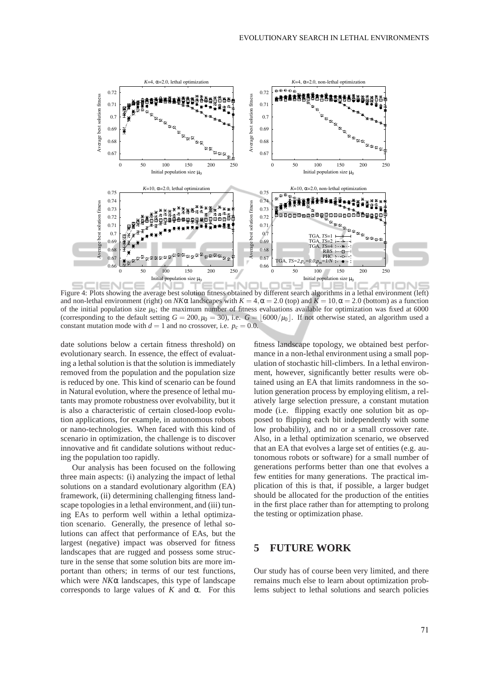

Figure 4: Plots showing the average best solution fitness obtained by different search algorithms in a lethal environment (left) and non-lethal environment (right) on  $N/K\alpha$  landscapes with  $K = 4$ ,  $\alpha = 2.0$  (top) and  $K = 10$ ,  $\alpha = 2.0$  (bottom) as a function of the initial population size  $\mu_0$ ; the maximum number of fitness evaluations available for optimization was fixed at 6000 (corresponding to the default setting  $G = 200, \mu_0 = 30$ ), i.e.  $G = \frac{6000}{\mu_0}$ . If not otherwise stated, an algorithm used a constant mutation mode with  $d = 1$  and no crossover, i.e.  $p_c = 0.0$ .

date solutions below a certain fitness threshold) on evolutionary search. In essence, the effect of evaluating a lethal solution is that the solution is immediately removed from the population and the population size is reduced by one. This kind of scenario can be found in Natural evolution, where the presence of lethal mutants may promote robustness over evolvability, but it is also a characteristic of certain closed-loop evolution applications, for example, in autonomous robots or nano-technologies. When faced with this kind of scenario in optimization, the challenge is to discover innovative and fit candidate solutions without reducing the population too rapidly.

Our analysis has been focused on the following three main aspects: (i) analyzing the impact of lethal solutions on a standard evolutionary algorithm (EA) framework, (ii) determining challenging fitness landscape topologies in a lethal environment, and (iii) tuning EAs to perform well within a lethal optimization scenario. Generally, the presence of lethal solutions can affect that performance of EAs, but the largest (negative) impact was observed for fitness landscapes that are rugged and possess some structure in the sense that some solution bits are more important than others; in terms of our test functions, which were *NK*α landscapes, this type of landscape corresponds to large values of  $K$  and  $\alpha$ . For this

fitness landscape topology, we obtained best performance in a non-lethal environment using a small population of stochastic hill-climbers. In a lethal environment, however, significantly better results were obtained using an EA that limits randomness in the solution generation process by employing elitism, a relatively large selection pressure, a constant mutation mode (i.e. flipping exactly one solution bit as opposed to flipping each bit independently with some low probability), and no or a small crossover rate. Also, in a lethal optimization scenario, we observed that an EA that evolves a large set of entities (e.g. autonomous robots or software) for a small number of generations performs better than one that evolves a few entities for many generations. The practical implication of this is that, if possible, a larger budget should be allocated for the production of the entities in the first place rather than for attempting to prolong the testing or optimization phase.

## **5 FUTURE WORK**

Our study has of course been very limited, and there remains much else to learn about optimization problems subject to lethal solutions and search policies